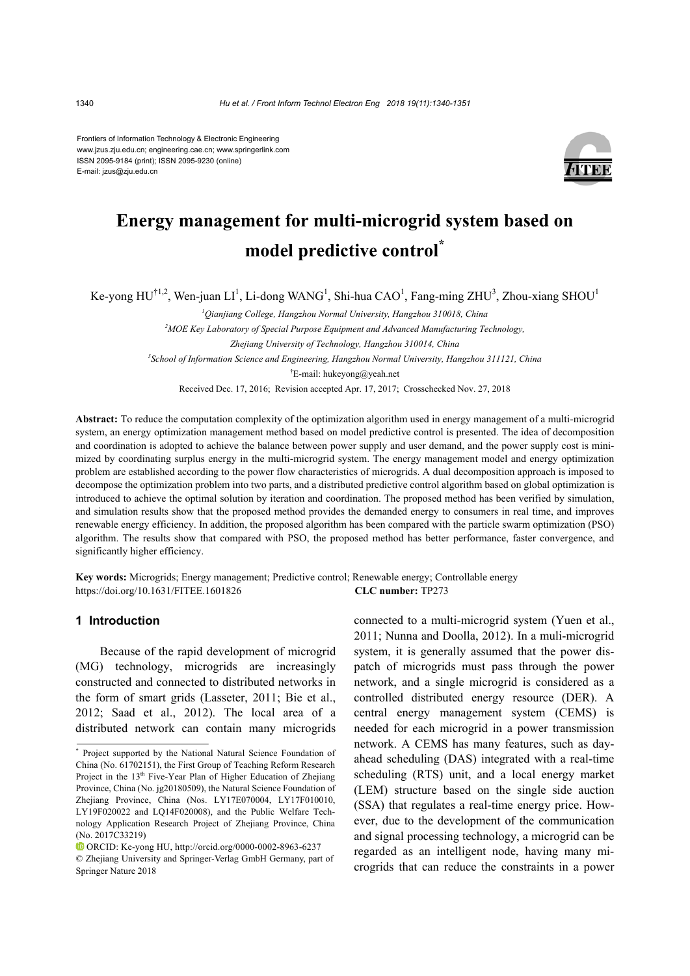Frontiers of Information Technology & Electronic Engineering www.jzus.zju.edu.cn; engineering.cae.cn; www.springerlink.com ISSN 2095-9184 (print); ISSN 2095-9230 (online) E-mail: jzus@zju.edu.cn



# **Energy management for multi-microgrid system based on model predictive control\***

Ke-yong  $HU^{\dagger1,2}$ , Wen-juan LI<sup>1</sup>, Li-dong WANG<sup>1</sup>, Shi-hua CAO<sup>1</sup>, Fang-ming ZHU<sup>3</sup>, Zhou-xiang SHOU<sup>1</sup>

*1 Qianjiang College, Hangzhou Normal University, Hangzhou 310018, China* 

*2 MOE Key Laboratory of Special Purpose Equipment and Advanced Manufacturing Technology, Zhejiang University of Technology, Hangzhou 310014, China 3 School of Information Science and Engineering, Hangzhou Normal University, Hangzhou 311121, China*  † E-mail: hukeyong@yeah.net

Received Dec. 17, 2016; Revision accepted Apr. 17, 2017; Crosschecked Nov. 27, 2018

**Abstract:** To reduce the computation complexity of the optimization algorithm used in energy management of a multi-microgrid system, an energy optimization management method based on model predictive control is presented. The idea of decomposition and coordination is adopted to achieve the balance between power supply and user demand, and the power supply cost is minimized by coordinating surplus energy in the multi-microgrid system. The energy management model and energy optimization problem are established according to the power flow characteristics of microgrids. A dual decomposition approach is imposed to decompose the optimization problem into two parts, and a distributed predictive control algorithm based on global optimization is introduced to achieve the optimal solution by iteration and coordination. The proposed method has been verified by simulation, and simulation results show that the proposed method provides the demanded energy to consumers in real time, and improves renewable energy efficiency. In addition, the proposed algorithm has been compared with the particle swarm optimization (PSO) algorithm. The results show that compared with PSO, the proposed method has better performance, faster convergence, and significantly higher efficiency.

**Key words:** Microgrids; Energy management; Predictive control; Renewable energy; Controllable energy https://doi.org/10.1631/FITEE.1601826 **CLC number:** TP273

## **1 Introduction**

Because of the rapid development of microgrid (MG) technology, microgrids are increasingly constructed and connected to distributed networks in the form of smart grids (Lasseter, 2011; Bie et al., 2012; Saad et al., 2012). The local area of a distributed network can contain many microgrids connected to a multi-microgrid system (Yuen et al., 2011; Nunna and Doolla, 2012). In a muli-microgrid system, it is generally assumed that the power dispatch of microgrids must pass through the power network, and a single microgrid is considered as a controlled distributed energy resource (DER). A central energy management system (CEMS) is needed for each microgrid in a power transmission network. A CEMS has many features, such as dayahead scheduling (DAS) integrated with a real-time scheduling (RTS) unit, and a local energy market (LEM) structure based on the single side auction (SSA) that regulates a real-time energy price. However, due to the development of the communication and signal processing technology, a microgrid can be regarded as an intelligent node, having many microgrids that can reduce the constraints in a power

**<sup>\*</sup>** Project supported by the National Natural Science Foundation of China (No. 61702151), the First Group of Teaching Reform Research Project in the 13<sup>th</sup> Five-Year Plan of Higher Education of Zhejiang Province, China (No. jg20180509), the Natural Science Foundation of Zhejiang Province, China (Nos. LY17E070004, LY17F010010, LY19F020022 and LQ14F020008), and the Public Welfare Technology Application Research Project of Zhejiang Province, China (No. 2017C33219)

ORCID: Ke-yong HU, http://orcid.org/0000-0002-8963-6237

<sup>©</sup> Zhejiang University and Springer-Verlag GmbH Germany, part of Springer Nature 2018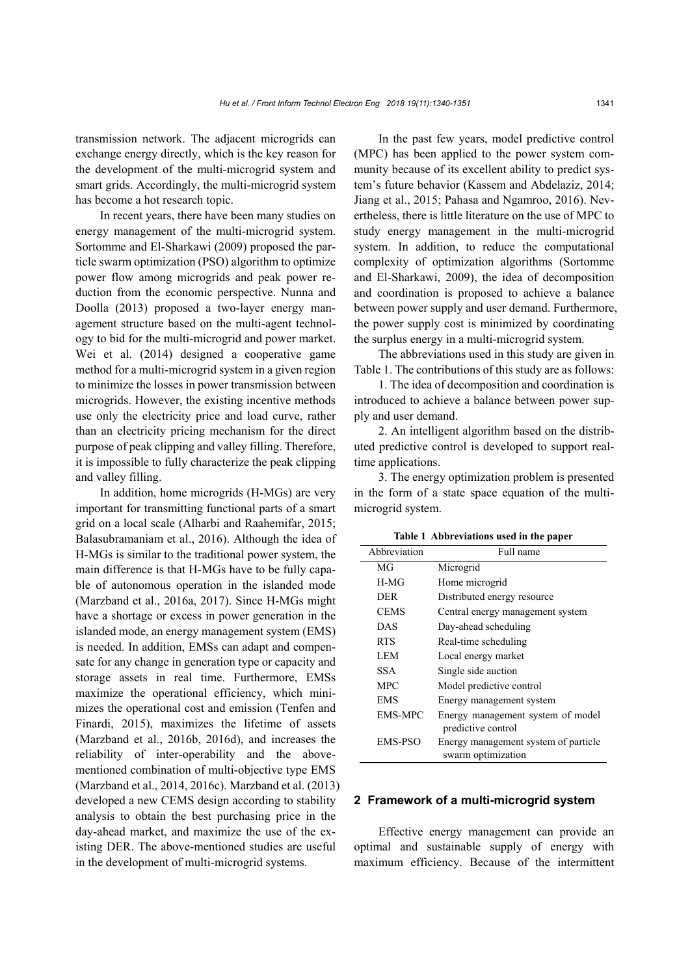transmission network. The adjacent microgrids can exchange energy directly, which is the key reason for the development of the multi-microgrid system and smart grids. Accordingly, the multi-microgrid system has become a hot research topic.

In recent years, there have been many studies on energy management of the multi-microgrid system. Sortomme and El-Sharkawi (2009) proposed the particle swarm optimization (PSO) algorithm to optimize power flow among microgrids and peak power reduction from the economic perspective. Nunna and Doolla (2013) proposed a two-layer energy management structure based on the multi-agent technology to bid for the multi-microgrid and power market. Wei et al. (2014) designed a cooperative game method for a multi-microgrid system in a given region to minimize the losses in power transmission between microgrids. However, the existing incentive methods use only the electricity price and load curve, rather than an electricity pricing mechanism for the direct purpose of peak clipping and valley filling. Therefore, it is impossible to fully characterize the peak clipping and valley filling.

In addition, home microgrids (H-MGs) are very important for transmitting functional parts of a smart grid on a local scale (Alharbi and Raahemifar, 2015; Balasubramaniam et al., 2016). Although the idea of H-MGs is similar to the traditional power system, the main difference is that H-MGs have to be fully capable of autonomous operation in the islanded mode (Marzband et al., 2016a, 2017). Since H-MGs might have a shortage or excess in power generation in the islanded mode, an energy management system (EMS) is needed. In addition, EMSs can adapt and compensate for any change in generation type or capacity and storage assets in real time. Furthermore, EMSs maximize the operational efficiency, which minimizes the operational cost and emission (Tenfen and Finardi, 2015), maximizes the lifetime of assets (Marzband et al., 2016b, 2016d), and increases the reliability of inter-operability and the abovementioned combination of multi-objective type EMS (Marzband et al., 2014, 2016c). Marzband et al. (2013) developed a new CEMS design according to stability analysis to obtain the best purchasing price in the day-ahead market, and maximize the use of the existing DER. The above-mentioned studies are useful in the development of multi-microgrid systems.

In the past few years, model predictive control (MPC) has been applied to the power system community because of its excellent ability to predict system's future behavior (Kassem and Abdelaziz, 2014; Jiang et al., 2015; Pahasa and Ngamroo, 2016). Nevertheless, there is little literature on the use of MPC to study energy management in the multi-microgrid system. In addition, to reduce the computational complexity of optimization algorithms (Sortomme and El-Sharkawi, 2009), the idea of decomposition and coordination is proposed to achieve a balance between power supply and user demand. Furthermore, the power supply cost is minimized by coordinating the surplus energy in a multi-microgrid system.

The abbreviations used in this study are given in Table 1. The contributions of this study are as follows:

1. The idea of decomposition and coordination is introduced to achieve a balance between power supply and user demand.

2. An intelligent algorithm based on the distributed predictive control is developed to support realtime applications.

3. The energy optimization problem is presented in the form of a state space equation of the multimicrogrid system.

**Table 1 Abbreviations used in the paper**

| Abbreviation | Full name                                                  |
|--------------|------------------------------------------------------------|
| MG           | Microgrid                                                  |
| $H-MG$       | Home microgrid                                             |
| <b>DER</b>   | Distributed energy resource                                |
| <b>CEMS</b>  | Central energy management system                           |
| DAS          | Day-ahead scheduling                                       |
| <b>RTS</b>   | Real-time scheduling                                       |
| LEM          | Local energy market                                        |
| SSA          | Single side auction                                        |
| <b>MPC</b>   | Model predictive control                                   |
| <b>EMS</b>   | Energy management system                                   |
| EMS-MPC      | Energy management system of model<br>predictive control    |
| EMS-PSO      | Energy management system of particle<br>swarm optimization |

## **2 Framework of a multi-microgrid system**

Effective energy management can provide an optimal and sustainable supply of energy with maximum efficiency. Because of the intermittent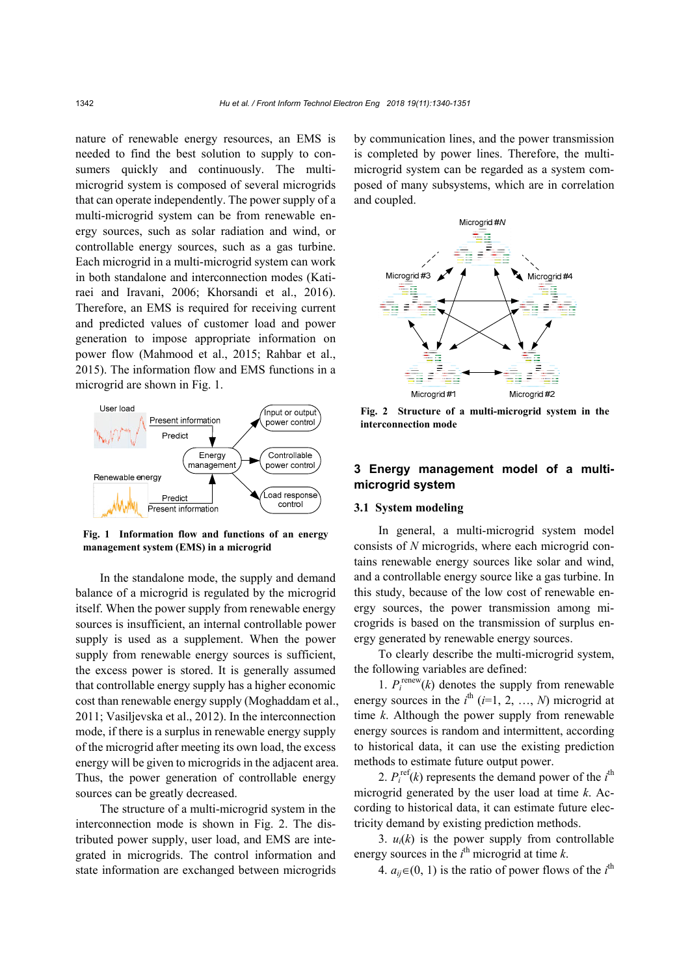nature of renewable energy resources, an EMS is needed to find the best solution to supply to consumers quickly and continuously. The multimicrogrid system is composed of several microgrids that can operate independently. The power supply of a multi-microgrid system can be from renewable energy sources, such as solar radiation and wind, or controllable energy sources, such as a gas turbine. Each microgrid in a multi-microgrid system can work in both standalone and interconnection modes (Katiraei and Iravani, 2006; Khorsandi et al., 2016). Therefore, an EMS is required for receiving current and predicted values of customer load and power generation to impose appropriate information on power flow (Mahmood et al., 2015; Rahbar et al., 2015). The information flow and EMS functions in a microgrid are shown in Fig. 1.



**Fig. 1 Information flow and functions of an energy management system (EMS) in a microgrid**

In the standalone mode, the supply and demand balance of a microgrid is regulated by the microgrid itself. When the power supply from renewable energy sources is insufficient, an internal controllable power supply is used as a supplement. When the power supply from renewable energy sources is sufficient, the excess power is stored. It is generally assumed that controllable energy supply has a higher economic cost than renewable energy supply (Moghaddam et al., 2011; Vasiljevska et al., 2012). In the interconnection mode, if there is a surplus in renewable energy supply of the microgrid after meeting its own load, the excess energy will be given to microgrids in the adjacent area. Thus, the power generation of controllable energy sources can be greatly decreased.

The structure of a multi-microgrid system in the interconnection mode is shown in Fig. 2. The distributed power supply, user load, and EMS are integrated in microgrids. The control information and state information are exchanged between microgrids by communication lines, and the power transmission is completed by power lines. Therefore, the multimicrogrid system can be regarded as a system composed of many subsystems, which are in correlation and coupled.



**Fig. 2 Structure of a multi-microgrid system in the interconnection mode** 

# **3 Energy management model of a multimicrogrid system**

#### **3.1 System modeling**

In general, a multi-microgrid system model consists of *N* microgrids, where each microgrid contains renewable energy sources like solar and wind, and a controllable energy source like a gas turbine. In this study, because of the low cost of renewable energy sources, the power transmission among microgrids is based on the transmission of surplus energy generated by renewable energy sources.

To clearly describe the multi-microgrid system, the following variables are defined:

1.  $P_i^{\text{renew}}(k)$  denotes the supply from renewable energy sources in the  $i^{\text{th}}$  ( $i=1, 2, ..., N$ ) microgrid at time *k*. Although the power supply from renewable energy sources is random and intermittent, according to historical data, it can use the existing prediction methods to estimate future output power.

2.  $P_i^{\text{ref}}(k)$  represents the demand power of the  $i^{\text{th}}$ microgrid generated by the user load at time *k*. According to historical data, it can estimate future electricity demand by existing prediction methods.

3.  $u_i(k)$  is the power supply from controllable energy sources in the  $i^{\text{th}}$  microgrid at time  $k$ .

4.  $a_{ij} \in (0, 1)$  is the ratio of power flows of the *i*<sup>th</sup>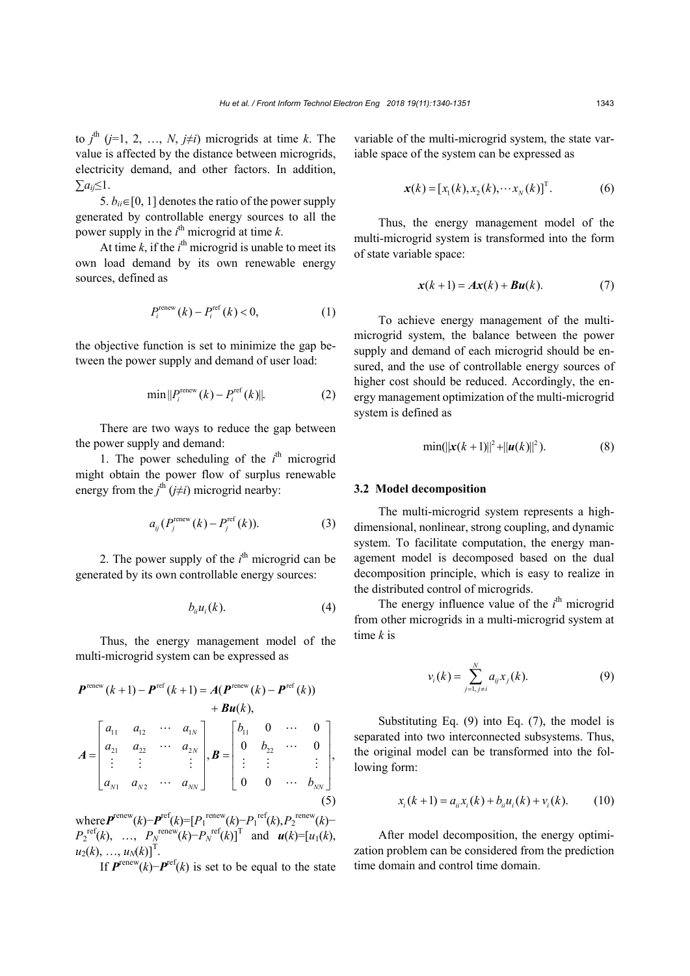to  $j^{\text{th}}$  ( $j=1, 2, ..., N$ ,  $j\neq i$ ) microgrids at time *k*. The value is affected by the distance between microgrids, electricity demand, and other factors. In addition, ∑*aij*≤1.

5.  $b_{ii} \in [0, 1]$  denotes the ratio of the power supply generated by controllable energy sources to all the power supply in the  $i^{\text{th}}$  microgrid at time  $k$ .

At time  $k$ , if the  $i^{\text{th}}$  microgrid is unable to meet its own load demand by its own renewable energy sources, defined as

$$
P_i^{\text{renew}}(k) - P_i^{\text{ref}}(k) < 0,\tag{1}
$$

the objective function is set to minimize the gap between the power supply and demand of user load:

$$
\min ||P_i^{\text{renew}}(k) - P_i^{\text{ref}}(k)||. \tag{2}
$$

There are two ways to reduce the gap between the power supply and demand:

1. The power scheduling of the  $i^{\text{th}}$  microgrid might obtain the power flow of surplus renewable energy from the  $j^{\text{th}}$  ( $j \neq i$ ) microgrid nearby:

$$
a_{ij}(P_j^{\text{renew}}(k) - P_j^{\text{ref}}(k)).\tag{3}
$$

2. The power supply of the  $i<sup>th</sup>$  microgrid can be generated by its own controllable energy sources:

$$
b_{ii}u_i(k). \tag{4}
$$

Thus, the energy management model of the multi-microgrid system can be expressed as

$$
P^{\text{renew}}(k+1) - P^{\text{ref}}(k+1) = A(P^{\text{renew}}(k) - P^{\text{ref}}(k)) + Bu(k),
$$
  
+  $Bu(k),$   

$$
A = \begin{bmatrix} a_{11} & a_{12} & \cdots & a_{1N} \\ a_{21} & a_{22} & \cdots & a_{2N} \\ \vdots & \vdots & & \vdots \\ a_{N1} & a_{N2} & \cdots & a_{NN} \end{bmatrix}, B = \begin{bmatrix} b_{11} & 0 & \cdots & 0 \\ 0 & b_{22} & \cdots & 0 \\ \vdots & \vdots & & \vdots \\ 0 & 0 & \cdots & b_{NN} \end{bmatrix},
$$
  
(5)

where  $\boldsymbol{P}^{\text{renew}}(k) - \boldsymbol{P}^{\text{ref}}(k) = [P_1^{\text{renew}}(k) - P_1^{\text{ref}}(k), P_2^{\text{renew}}(k) P_2^{\text{ref}}(k)$ , …,  $P_N^{\text{renew}}(k) - P_N^{\text{ref}}(k)$ ]<sup>T</sup> and  $u(k) = [u_1(k)]$ ,  $u_2(k), \ldots, u_N(k)$ <sup>T</sup>.

If  $P^{\text{renew}}(k) - P^{\text{ref}}(k)$  is set to be equal to the state

variable of the multi-microgrid system, the state variable space of the system can be expressed as

$$
\mathbf{x}(k) = [x_1(k), x_2(k), \cdots x_N(k)]^T.
$$
 (6)

Thus, the energy management model of the multi-microgrid system is transformed into the form of state variable space:

$$
\mathbf{x}(k+1) = A\mathbf{x}(k) + B\mathbf{u}(k). \tag{7}
$$

To achieve energy management of the multimicrogrid system, the balance between the power supply and demand of each microgrid should be ensured, and the use of controllable energy sources of higher cost should be reduced. Accordingly, the energy management optimization of the multi-microgrid system is defined as

$$
\min(||x(k+1)||^2 + ||u(k)||^2). \tag{8}
$$

### **3.2 Model decomposition**

The multi-microgrid system represents a highdimensional, nonlinear, strong coupling, and dynamic system. To facilitate computation, the energy management model is decomposed based on the dual decomposition principle, which is easy to realize in the distributed control of microgrids.

The energy influence value of the  $i<sup>th</sup>$  microgrid from other microgrids in a multi-microgrid system at time *k* is

$$
v_i(k) = \sum_{j=1, j \neq i}^{N} a_{ij} x_j(k).
$$
 (9)

Substituting Eq. (9) into Eq. (7), the model is separated into two interconnected subsystems. Thus, the original model can be transformed into the following form:

$$
x_i(k+1) = a_{ii}x_i(k) + b_{ii}u_i(k) + v_i(k).
$$
 (10)

After model decomposition, the energy optimization problem can be considered from the prediction time domain and control time domain.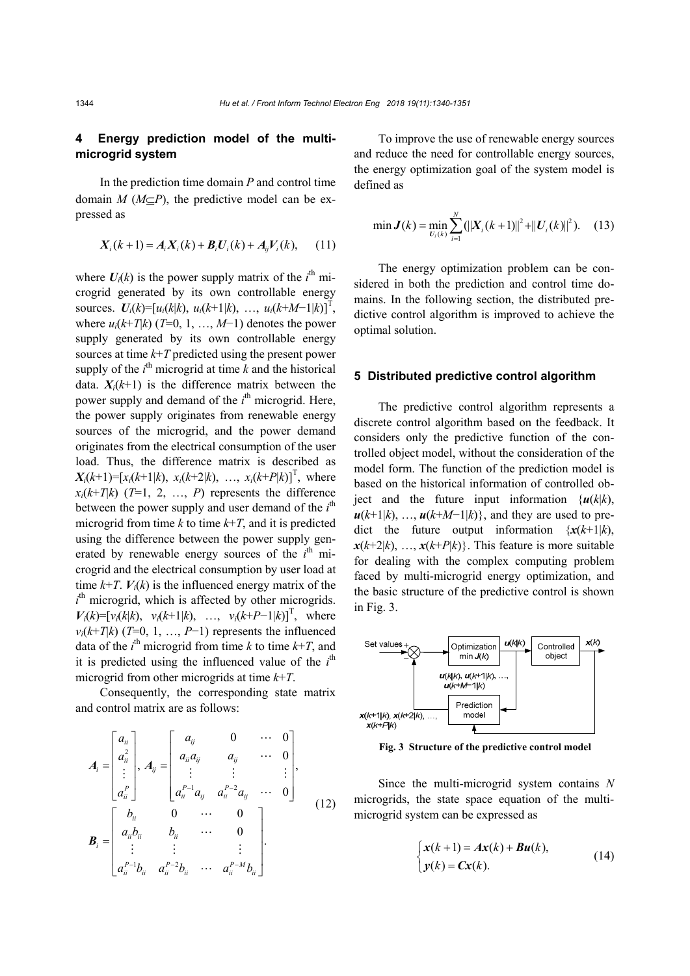# **4 Energy prediction model of the multimicrogrid system**

In the prediction time domain *P* and control time domain  $M$  ( $M\subset P$ ), the predictive model can be expressed as

$$
X_i(k+1) = A_i X_i(k) + B_i U_i(k) + A_{ij} V_i(k), \quad (11)
$$

where  $U_i(k)$  is the power supply matrix of the  $i^{\text{th}}$  microgrid generated by its own controllable energy sources.  $U_i(k)=[u_i(k|k), u_i(k+1|k), ..., u_i(k+M-1|k)]^T$ , where  $u_i(k+T|k)$  (*T*=0, 1, …, *M*−1) denotes the power supply generated by its own controllable energy sources at time *k*+*T* predicted using the present power supply of the  $i^{\text{th}}$  microgrid at time  $k$  and the historical data.  $X_i(k+1)$  is the difference matrix between the power supply and demand of the  $i<sup>th</sup>$  microgrid. Here, the power supply originates from renewable energy sources of the microgrid, and the power demand originates from the electrical consumption of the user load. Thus, the difference matrix is described as  $X_i(k+1) = [x_i(k+1|k), x_i(k+2|k), \dots, x_i(k+P|k)]^T$ , where  $x_i(k+T)k$  (*T*=1, 2, …, *P*) represents the difference between the power supply and user demand of the  $i<sup>th</sup>$ microgrid from time  $k$  to time  $k+T$ , and it is predicted using the difference between the power supply generated by renewable energy sources of the  $i<sup>th</sup>$  microgrid and the electrical consumption by user load at time  $k+T$ .  $V_i(k)$  is the influenced energy matrix of the  $i<sup>th</sup>$  microgrid, which is affected by other microgrids.  $V_i(k) = [v_i(k|k), v_i(k+1|k), ..., v_i(k+P-1|k)]^T$ , where  $v_i(k+T|k)$  (*T*=0, 1, …, *P*−1) represents the influenced data of the  $i^{\text{th}}$  microgrid from time *k* to time  $k+T$ , and it is predicted using the influenced value of the  $i<sup>th</sup>$ microgrid from other microgrids at time *k*+*T*.

Consequently, the corresponding state matrix and control matrix are as follows:

$$
A_{i} = \begin{bmatrix} a_{ii} \\ a_{ii}^{2} \\ \vdots \\ a_{ii}^{P} \end{bmatrix}, A_{ij} = \begin{bmatrix} a_{ij} & 0 & \cdots & 0 \\ a_{ii}a_{ij} & a_{ij} & \cdots & 0 \\ \vdots & \vdots & & \vdots \\ a_{ii}^{P-1}a_{ij} & a_{ii}^{P-2}a_{ij} & \cdots & 0 \end{bmatrix},
$$
  

$$
B_{i} = \begin{bmatrix} b_{ii} & 0 & \cdots & 0 \\ a_{ii}b_{ii} & b_{ii} & \cdots & 0 \\ \vdots & \vdots & & \vdots \\ a_{ii}^{P-1}b_{ii} & a_{ii}^{P-2}b_{ii} & \cdots & a_{ii}^{P-M}b_{ii} \end{bmatrix}.
$$
 (12)

To improve the use of renewable energy sources and reduce the need for controllable energy sources, the energy optimization goal of the system model is defined as

$$
\min \mathbf{J}(k) = \min_{U_i(k)} \sum_{i=1}^N (||\mathbf{X}_i(k+1)||^2 + ||\mathbf{U}_i(k)||^2). \tag{13}
$$

The energy optimization problem can be considered in both the prediction and control time domains. In the following section, the distributed predictive control algorithm is improved to achieve the optimal solution.

### **5 Distributed predictive control algorithm**

The predictive control algorithm represents a discrete control algorithm based on the feedback. It considers only the predictive function of the controlled object model, without the consideration of the model form. The function of the prediction model is based on the historical information of controlled object and the future input information  $\{u(k|k)\}$ ,  $u(k+1|k)$ , …,  $u(k+M-1|k)$ }, and they are used to predict the future output information  $\{x(k+1)k\}$ ,  $x(k+2|k)$ , …,  $x(k+P|k)$ . This feature is more suitable for dealing with the complex computing problem faced by multi-microgrid energy optimization, and the basic structure of the predictive control is shown in Fig. 3.



**Fig. 3 Structure of the predictive control model**

Since the multi-microgrid system contains *N* microgrids, the state space equation of the multimicrogrid system can be expressed as

$$
\begin{cases} x(k+1) = Ax(k) + Bu(k), \\ y(k) = Cx(k). \end{cases}
$$
 (14)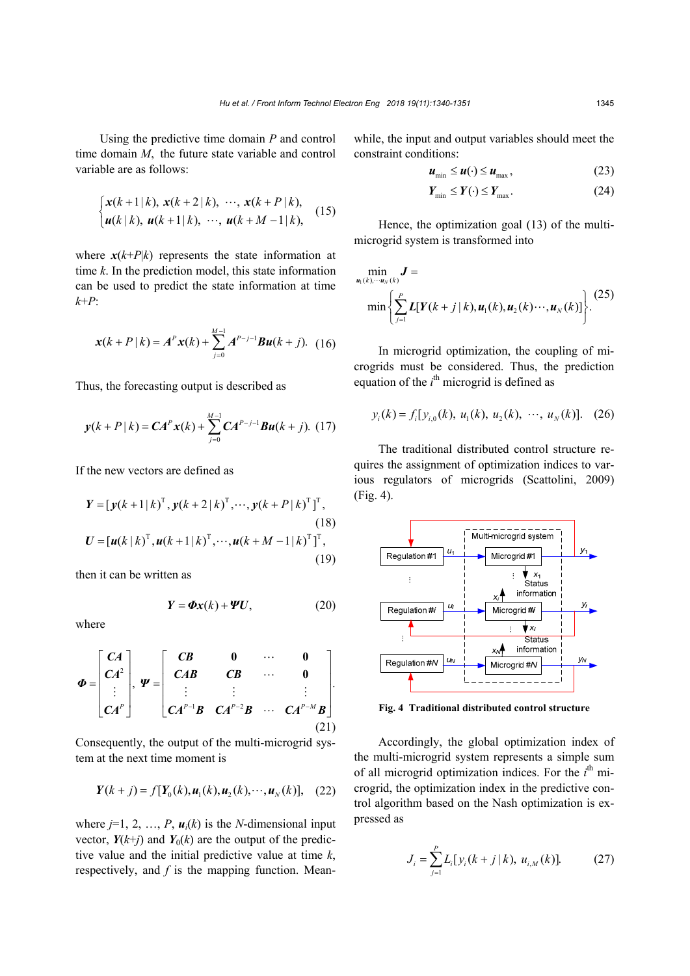Using the predictive time domain *P* and control time domain *M*, the future state variable and control variable are as follows:

$$
\begin{cases} x(k+1|k), x(k+2|k), \cdots, x(k+P|k), \\ u(k|k), u(k+1|k), \cdots, u(k+M-1|k), \end{cases}
$$
 (15)

where  $x(k+P|k)$  represents the state information at time *k*. In the prediction model, this state information can be used to predict the state information at time *k*+*P*:

$$
x(k+P|k) = AP x(k) + \sum_{j=0}^{M-1} AP-j-1 Bu(k+j).
$$
 (16)

Thus, the forecasting output is described as

$$
\mathbf{y}(k+P|k) = \mathbf{C}A^{P}\mathbf{x}(k) + \sum_{j=0}^{M-1} \mathbf{C}A^{P-j-1}\mathbf{B}\mathbf{u}(k+j). \tag{17}
$$

If the new vectors are defined as

$$
Y = [y(k+1|k)^{\mathrm{T}}, y(k+2|k)^{\mathrm{T}}, \cdots, y(k+P|k)^{\mathrm{T}}]^{\mathrm{T}},
$$
\n(18)  
\n
$$
U = [u(k|k)^{\mathrm{T}}, u(k+1|k)^{\mathrm{T}}, \cdots, u(k+M-1|k)^{\mathrm{T}}]^{\mathrm{T}},
$$
\n(19)

then it can be written as

$$
Y = \Phi x(k) + \Psi U, \qquad (20)
$$

where

$$
\boldsymbol{\Phi} = \begin{bmatrix} CA \\ CA^2 \\ \vdots \\ CA^P \end{bmatrix}, \boldsymbol{\Psi} = \begin{bmatrix} CB & 0 & \cdots & 0 \\ CAB & CB & \cdots & 0 \\ \vdots & \vdots & & \vdots \\ CA^{P-1}B & CA^{P-2}B & \cdots & CA^{P-M}B \end{bmatrix} .
$$
\n(21)

Consequently, the output of the multi-microgrid system at the next time moment is

$$
Y(k + j) = f[Y_0(k), u_1(k), u_2(k), \cdots, u_N(k)], \quad (22)
$$

where  $j=1, 2, ..., P$ ,  $u_i(k)$  is the *N*-dimensional input vector,  $Y(k+j)$  and  $Y_0(k)$  are the output of the predictive value and the initial predictive value at time *k*, respectively, and *f* is the mapping function. Meanwhile, the input and output variables should meet the constraint conditions:

$$
u_{\min} \le u(\cdot) \le u_{\max},\tag{23}
$$

$$
Y_{\min} \le Y(\cdot) \le Y_{\max}.\tag{24}
$$

Hence, the optimization goal (13) of the multimicrogrid system is transformed into

$$
\min_{\mathbf{u}_{1}(k),\cdots,\mathbf{u}_{N}(k)} \mathbf{J} = \min \left\{ \sum_{j=1}^{P} \mathbf{L}[\mathbf{Y}(k+j|k), \mathbf{u}_{1}(k), \mathbf{u}_{2}(k)\cdots, \mathbf{u}_{N}(k)] \right\}. (25)
$$

In microgrid optimization, the coupling of microgrids must be considered. Thus, the prediction equation of the  $i<sup>th</sup>$  microgrid is defined as

$$
y_i(k) = f_i[y_{i,0}(k), u_1(k), u_2(k), \cdots, u_N(k)].
$$
 (26)

The traditional distributed control structure requires the assignment of optimization indices to various regulators of microgrids (Scattolini, 2009) (Fig. 4).



Accordingly, the global optimization index of the multi-microgrid system represents a simple sum of all microgrid optimization indices. For the *i*<sup>th</sup> microgrid, the optimization index in the predictive control algorithm based on the Nash optimization is expressed as

$$
J_i = \sum_{j=1}^{P} L_i[y_i(k+j|k), u_{i,M}(k)].
$$
 (27)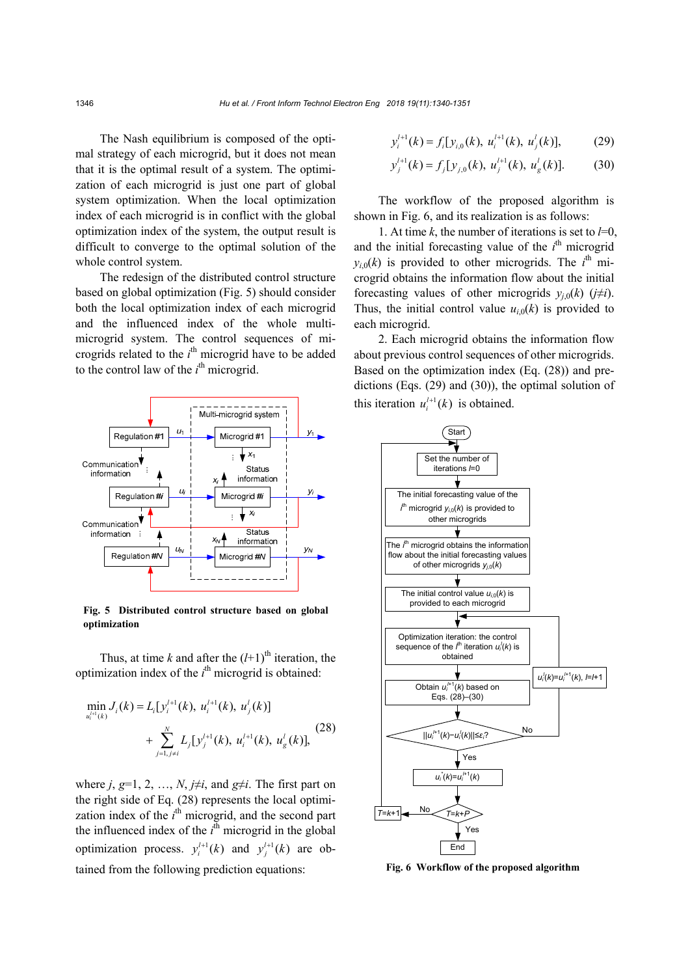The Nash equilibrium is composed of the optimal strategy of each microgrid, but it does not mean that it is the optimal result of a system. The optimization of each microgrid is just one part of global system optimization. When the local optimization index of each microgrid is in conflict with the global optimization index of the system, the output result is difficult to converge to the optimal solution of the whole control system.

The redesign of the distributed control structure based on global optimization (Fig. 5) should consider both the local optimization index of each microgrid and the influenced index of the whole multimicrogrid system. The control sequences of microgrids related to the *i*<sup>th</sup> microgrid have to be added to the control law of the  $i^{\text{th}}$  microgrid.



**Fig. 5 Distributed control structure based on global optimization**

Thus, at time *k* and after the  $(l+1)$ <sup>th</sup> iteration, the optimization index of the  $i<sup>th</sup>$  microgrid is obtained:

$$
\min_{u_i^{l+1}(k)} J_i(k) = L_i[y_i^{l+1}(k), u_i^{l+1}(k), u_j^{l}(k)] + \sum_{j=1, j \neq i}^{N} L_j[y_j^{l+1}(k), u_i^{l+1}(k), u_g^{l}(k)],
$$
\n(28)

where  $j, g=1, 2, ..., N, j\neq i$ , and  $g\neq i$ . The first part on the right side of Eq. (28) represents the local optimization index of the  $i<sup>th</sup>$  microgrid, and the second part the influenced index of the  $i<sup>th</sup>$  microgrid in the global optimization process.  $y_i^{l+1}(k)$  and  $y_j^{l+1}(k)$  are obtained from the following prediction equations:

$$
y_i^{l+1}(k) = f_i[y_{i,0}(k), u_i^{l+1}(k), u_j^{l}(k)],
$$
 (29)

$$
y_j^{l+1}(k) = f_j[y_{j,0}(k), u_j^{l+1}(k), u_g^l(k)].
$$
 (30)

The workflow of the proposed algorithm is shown in Fig. 6, and its realization is as follows:

1. At time  $k$ , the number of iterations is set to  $l=0$ , and the initial forecasting value of the  $i<sup>th</sup>$  microgrid  $y_{i,0}(k)$  is provided to other microgrids. The  $i^{\text{th}}$  microgrid obtains the information flow about the initial forecasting values of other microgrids  $y_{i,0}(k)$  ( $j\neq i$ ). Thus, the initial control value  $u_{i0}(k)$  is provided to each microgrid.

2. Each microgrid obtains the information flow about previous control sequences of other microgrids. Based on the optimization index (Eq. (28)) and predictions (Eqs. (29) and (30)), the optimal solution of this iteration  $u_i^{l+1}(k)$  is obtained.



**Fig. 6 Workflow of the proposed algorithm**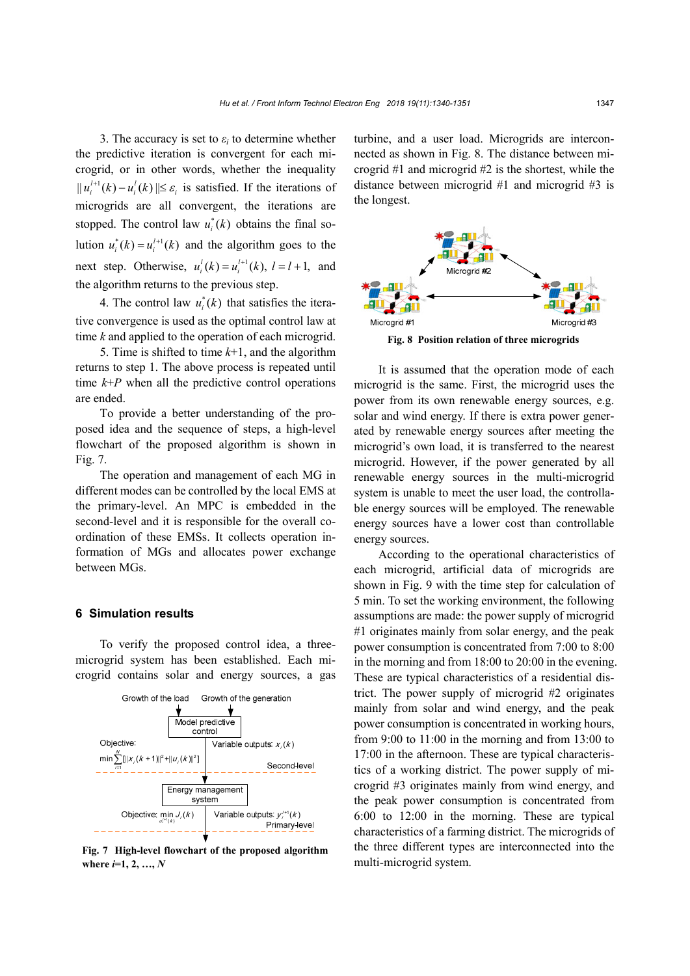3. The accuracy is set to  $\varepsilon_i$  to determine whether the predictive iteration is convergent for each microgrid, or in other words, whether the inequality  $||u_i^{l+1}(k) - u_i^l(k)|| \leq \varepsilon_i$  is satisfied. If the iterations of microgrids are all convergent, the iterations are stopped. The control law  $u_i^*(k)$  obtains the final solution  $u_i^*(k) = u_i^{l+1}(k)$  and the algorithm goes to the next step. Otherwise,  $u_i^l(k) = u_i^{l+1}(k)$ ,  $l = l+1$ , and the algorithm returns to the previous step.

4. The control law  $u_i^*(k)$  that satisfies the iterative convergence is used as the optimal control law at time *k* and applied to the operation of each microgrid.

5. Time is shifted to time *k*+1, and the algorithm returns to step 1. The above process is repeated until time  $k+P$  when all the predictive control operations are ended.

To provide a better understanding of the proposed idea and the sequence of steps, a high-level flowchart of the proposed algorithm is shown in Fig. 7.

The operation and management of each MG in different modes can be controlled by the local EMS at the primary-level. An MPC is embedded in the second-level and it is responsible for the overall coordination of these EMSs. It collects operation information of MGs and allocates power exchange between MGs.

#### **6 Simulation results**

To verify the proposed control idea, a threemicrogrid system has been established. Each microgrid contains solar and energy sources, a gas



**Fig. 7 High-level flowchart of the proposed algorithm where** *i***=1, 2, …,** *N*

turbine, and a user load. Microgrids are interconnected as shown in Fig. 8. The distance between microgrid #1 and microgrid #2 is the shortest, while the distance between microgrid #1 and microgrid #3 is the longest.



It is assumed that the operation mode of each microgrid is the same. First, the microgrid uses the power from its own renewable energy sources, e.g. solar and wind energy. If there is extra power generated by renewable energy sources after meeting the microgrid's own load, it is transferred to the nearest microgrid. However, if the power generated by all renewable energy sources in the multi-microgrid system is unable to meet the user load, the controllable energy sources will be employed. The renewable energy sources have a lower cost than controllable energy sources.

According to the operational characteristics of each microgrid, artificial data of microgrids are shown in Fig. 9 with the time step for calculation of 5 min. To set the working environment, the following assumptions are made: the power supply of microgrid #1 originates mainly from solar energy, and the peak power consumption is concentrated from 7:00 to 8:00 in the morning and from 18:00 to 20:00 in the evening. These are typical characteristics of a residential district. The power supply of microgrid #2 originates mainly from solar and wind energy, and the peak power consumption is concentrated in working hours, from 9:00 to 11:00 in the morning and from 13:00 to 17:00 in the afternoon. These are typical characteristics of a working district. The power supply of microgrid #3 originates mainly from wind energy, and the peak power consumption is concentrated from 6:00 to 12:00 in the morning. These are typical characteristics of a farming district. The microgrids of the three different types are interconnected into the multi-microgrid system.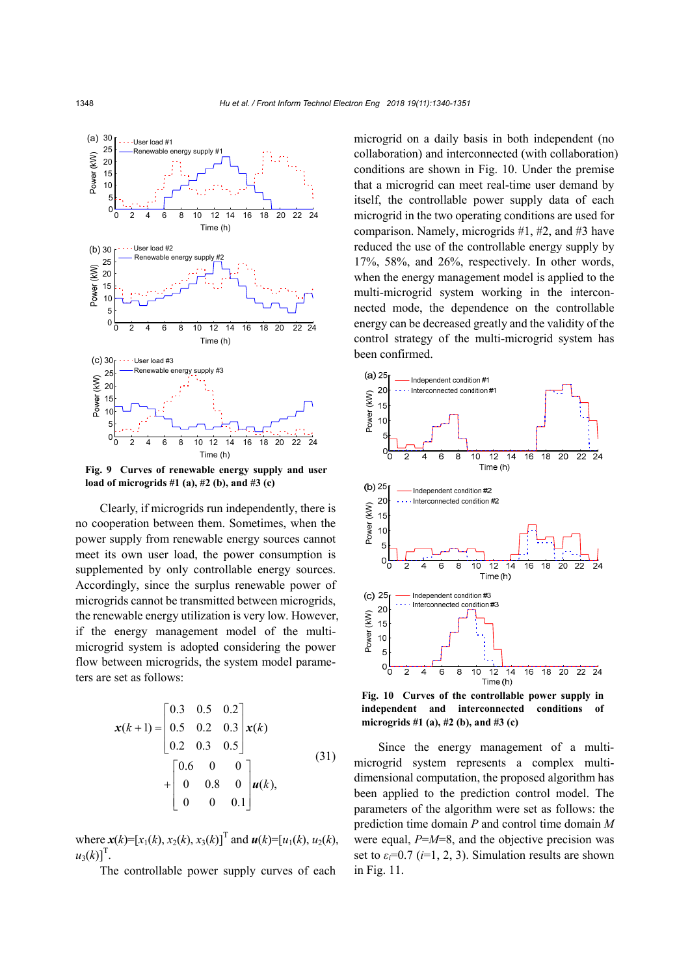

**Fig. 9 Curves of renewable energy supply and user load of microgrids #1 (a), #2 (b), and #3 (c)** 

Clearly, if microgrids run independently, there is no cooperation between them. Sometimes, when the power supply from renewable energy sources cannot meet its own user load, the power consumption is supplemented by only controllable energy sources. Accordingly, since the surplus renewable power of microgrids cannot be transmitted between microgrids, the renewable energy utilization is very low. However, if the energy management model of the multimicrogrid system is adopted considering the power flow between microgrids, the system model parameters are set as follows:

$$
\mathbf{x}(k+1) = \begin{bmatrix} 0.3 & 0.5 & 0.2 \\ 0.5 & 0.2 & 0.3 \\ 0.2 & 0.3 & 0.5 \end{bmatrix} \mathbf{x}(k)
$$
  
+ 
$$
\begin{bmatrix} 0.6 & 0 & 0 \\ 0 & 0.8 & 0 \\ 0 & 0 & 0.1 \end{bmatrix} \mathbf{u}(k),
$$
 (31)

where  $\mathbf{x}(k)=[x_1(k), x_2(k), x_3(k)]^T$  and  $\mathbf{u}(k)=[u_1(k), u_2(k),$  $u_3(k)$ <sup>T</sup>.

The controllable power supply curves of each

microgrid on a daily basis in both independent (no collaboration) and interconnected (with collaboration) conditions are shown in Fig. 10. Under the premise that a microgrid can meet real-time user demand by itself, the controllable power supply data of each microgrid in the two operating conditions are used for comparison. Namely, microgrids #1, #2, and #3 have reduced the use of the controllable energy supply by 17%, 58%, and 26%, respectively. In other words, when the energy management model is applied to the multi-microgrid system working in the interconnected mode, the dependence on the controllable energy can be decreased greatly and the validity of the control strategy of the multi-microgrid system has been confirmed.



**Fig. 10 Curves of the controllable power supply in independent and interconnected conditions of** 

Since the energy management of a multimicrogrid system represents a complex multidimensional computation, the proposed algorithm has been applied to the prediction control model. The parameters of the algorithm were set as follows: the prediction time domain *P* and control time domain *M* were equal, *P*=*M*=8, and the objective precision was set to  $\varepsilon_i$ =0.7 (*i*=1, 2, 3). Simulation results are shown in Fig. 11.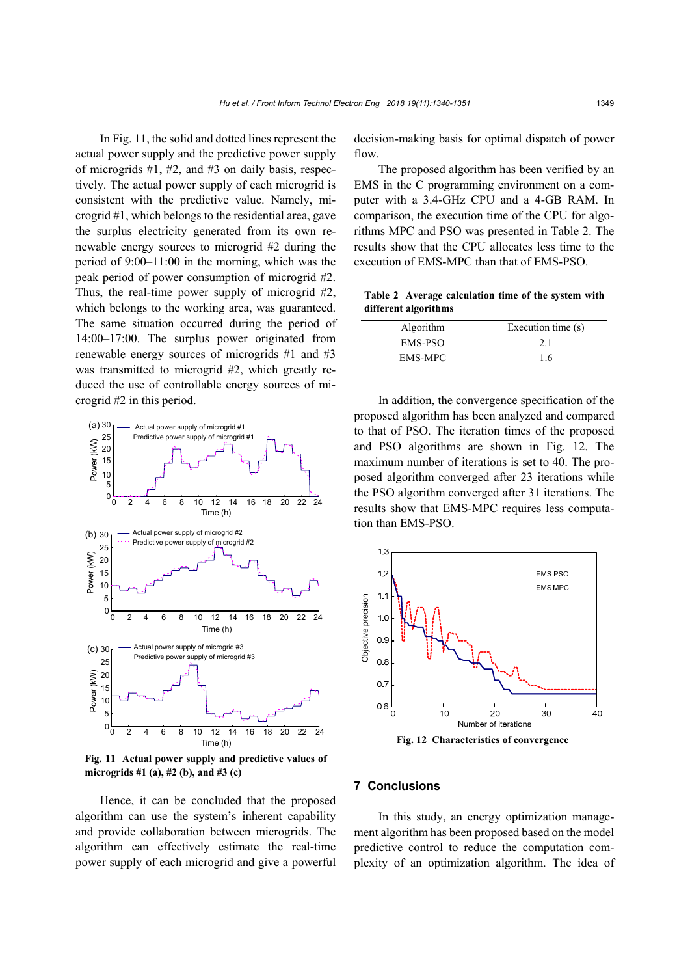In Fig. 11, the solid and dotted lines represent the actual power supply and the predictive power supply of microgrids #1, #2, and #3 on daily basis, respectively. The actual power supply of each microgrid is consistent with the predictive value. Namely, microgrid #1, which belongs to the residential area, gave the surplus electricity generated from its own renewable energy sources to microgrid #2 during the period of 9:00–11:00 in the morning, which was the peak period of power consumption of microgrid #2. Thus, the real-time power supply of microgrid #2, which belongs to the working area, was guaranteed. The same situation occurred during the period of 14:00–17:00. The surplus power originated from renewable energy sources of microgrids #1 and #3 was transmitted to microgrid #2, which greatly reduced the use of controllable energy sources of microgrid #2 in this period.



**Fig. 11 Actual power supply and predictive values of microgrids #1 (a), #2 (b), and #3 (c)**

Hence, it can be concluded that the proposed algorithm can use the system's inherent capability and provide collaboration between microgrids. The algorithm can effectively estimate the real-time power supply of each microgrid and give a powerful

decision-making basis for optimal dispatch of power flow.

The proposed algorithm has been verified by an EMS in the C programming environment on a computer with a 3.4-GHz CPU and a 4-GB RAM. In comparison, the execution time of the CPU for algorithms MPC and PSO was presented in Table 2. The results show that the CPU allocates less time to the execution of EMS-MPC than that of EMS-PSO.

**Table 2 Average calculation time of the system with different algorithms**

| Algorithm      | Execution time (s) |
|----------------|--------------------|
| EMS-PSO        | 2.1                |
| <b>EMS-MPC</b> | 16                 |

In addition, the convergence specification of the proposed algorithm has been analyzed and compared to that of PSO. The iteration times of the proposed and PSO algorithms are shown in Fig. 12. The maximum number of iterations is set to 40. The proposed algorithm converged after 23 iterations while the PSO algorithm converged after 31 iterations. The results show that EMS-MPC requires less computation than EMS-PSO.



# **7 Conclusions**

In this study, an energy optimization management algorithm has been proposed based on the model predictive control to reduce the computation complexity of an optimization algorithm. The idea of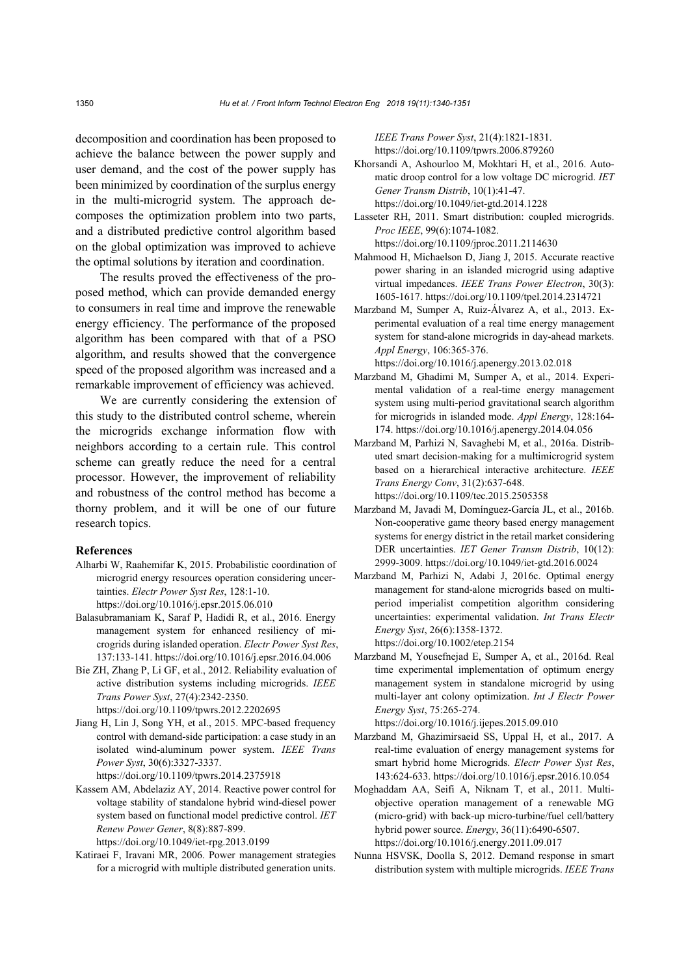decomposition and coordination has been proposed to achieve the balance between the power supply and user demand, and the cost of the power supply has been minimized by coordination of the surplus energy in the multi-microgrid system. The approach decomposes the optimization problem into two parts, and a distributed predictive control algorithm based on the global optimization was improved to achieve the optimal solutions by iteration and coordination.

The results proved the effectiveness of the proposed method, which can provide demanded energy to consumers in real time and improve the renewable energy efficiency. The performance of the proposed algorithm has been compared with that of a PSO algorithm, and results showed that the convergence speed of the proposed algorithm was increased and a remarkable improvement of efficiency was achieved.

We are currently considering the extension of this study to the distributed control scheme, wherein the microgrids exchange information flow with neighbors according to a certain rule. This control scheme can greatly reduce the need for a central processor. However, the improvement of reliability and robustness of the control method has become a thorny problem, and it will be one of our future research topics.

## **References**

- Alharbi W, Raahemifar K, 2015. Probabilistic coordination of microgrid energy resources operation considering uncertainties. *Electr Power Syst Res*, 128:1-10. https://doi.org/10.1016/j.epsr.2015.06.010
- Balasubramaniam K, Saraf P, Hadidi R, et al., 2016. Energy management system for enhanced resiliency of microgrids during islanded operation. *Electr Power Syst Res*, 137:133-141. https://doi.org/10.1016/j.epsr.2016.04.006
- Bie ZH, Zhang P, Li GF, et al., 2012. Reliability evaluation of active distribution systems including microgrids. *IEEE Trans Power Syst*, 27(4):2342-2350. https://doi.org/10.1109/tpwrs.2012.2202695
- Jiang H, Lin J, Song YH, et al., 2015. MPC-based frequency control with demand-side participation: a case study in an isolated wind-aluminum power system. *IEEE Trans Power Syst*, 30(6):3327-3337.

https://doi.org/10.1109/tpwrs.2014.2375918

Kassem AM, Abdelaziz AY, 2014. Reactive power control for voltage stability of standalone hybrid wind-diesel power system based on functional model predictive control. *IET Renew Power Gener*, 8(8):887-899.

https://doi.org/10.1049/iet-rpg.2013.0199

Katiraei F, Iravani MR, 2006. Power management strategies for a microgrid with multiple distributed generation units. *IEEE Trans Power Syst*, 21(4):1821-1831. https://doi.org/10.1109/tpwrs.2006.879260

- Khorsandi A, Ashourloo M, Mokhtari H, et al., 2016. Automatic droop control for a low voltage DC microgrid. *IET Gener Transm Distrib*, 10(1):41-47. https://doi.org/10.1049/iet-gtd.2014.1228
- Lasseter RH, 2011. Smart distribution: coupled microgrids. *Proc IEEE*, 99(6):1074-1082. https://doi.org/10.1109/jproc.2011.2114630
- Mahmood H, Michaelson D, Jiang J, 2015. Accurate reactive power sharing in an islanded microgrid using adaptive virtual impedances. *IEEE Trans Power Electron*, 30(3): 1605-1617. https://doi.org/10.1109/tpel.2014.2314721
- Marzband M, Sumper A, Ruiz-Álvarez A, et al., 2013. Experimental evaluation of a real time energy management system for stand-alone microgrids in day-ahead markets. *Appl Energy*, 106:365-376. https://doi.org/10.1016/j.apenergy.2013.02.018
- Marzband M, Ghadimi M, Sumper A, et al., 2014. Experimental validation of a real-time energy management system using multi-period gravitational search algorithm for microgrids in islanded mode. *Appl Energy*, 128:164- 174. https://doi.org/10.1016/j.apenergy.2014.04.056
- Marzband M, Parhizi N, Savaghebi M, et al., 2016a. Distributed smart decision-making for a multimicrogrid system based on a hierarchical interactive architecture. *IEEE Trans Energy Conv*, 31(2):637-648. https://doi.org/10.1109/tec.2015.2505358
- Marzband M, Javadi M, Domínguez-García JL, et al., 2016b. Non-cooperative game theory based energy management systems for energy district in the retail market considering DER uncertainties. *IET Gener Transm Distrib*, 10(12): 2999-3009. https://doi.org/10.1049/iet-gtd.2016.0024
- Marzband M, Parhizi N, Adabi J, 2016c. Optimal energy management for stand‐alone microgrids based on multiperiod imperialist competition algorithm considering uncertainties: experimental validation. *Int Trans Electr Energy Syst*, 26(6):1358-1372. https://doi.org/10.1002/etep.2154
- Marzband M, Yousefnejad E, Sumper A, et al., 2016d. Real time experimental implementation of optimum energy management system in standalone microgrid by using multi-layer ant colony optimization. *Int J Electr Power Energy Syst*, 75:265-274.

https://doi.org/10.1016/j.ijepes.2015.09.010

- Marzband M, Ghazimirsaeid SS, Uppal H, et al., 2017. A real-time evaluation of energy management systems for smart hybrid home Microgrids. *Electr Power Syst Res*, 143:624-633. https://doi.org/10.1016/j.epsr.2016.10.054
- Moghaddam AA, Seifi A, Niknam T, et al., 2011. Multiobjective operation management of a renewable MG (micro-grid) with back-up micro-turbine/fuel cell/battery hybrid power source. *Energy*, 36(11):6490-6507. https://doi.org/10.1016/j.energy.2011.09.017
- Nunna HSVSK, Doolla S, 2012. Demand response in smart distribution system with multiple microgrids. *IEEE Trans*